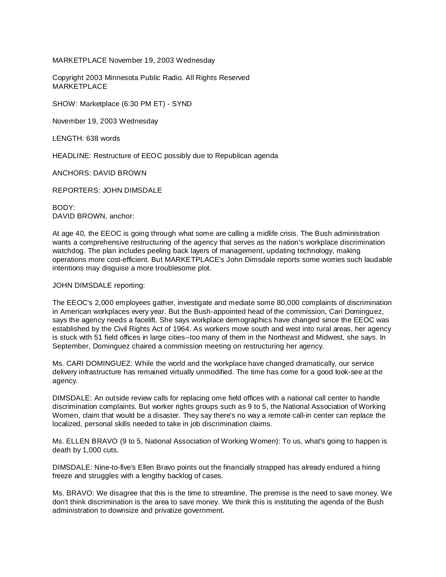MARKETPLACE November 19, 2003 Wednesday

Copyright 2003 Minnesota Public Radio. All Rights Reserved MARKETPLACE

SHOW: Marketplace (6:30 PM ET) - SYND

November 19, 2003 Wednesday

LENGTH: 638 words

HEADLINE: Restructure of EEOC possibly due to Republican agenda

ANCHORS: DAVID BROWN

REPORTERS: JOHN DIMSDALE

BODY: DAVID BROWN, anchor:

At age 40, the EEOC is going through what some are calling a midlife crisis. The Bush administration wants a comprehensive restructuring of the agency that serves as the nation's workplace discrimination watchdog. The plan includes peeling back layers of management, updating technology, making operations more cost-efficient. But MARKETPLACE's John Dimsdale reports some worries such laudable intentions may disguise a more troublesome plot.

JOHN DIMSDALE reporting:

The EEOC's 2,000 employees gather, investigate and mediate some 80,000 complaints of discrimination in American workplaces every year. But the Bush-appointed head of the commission, Cari Dominguez, says the agency needs a facelift. She says workplace demographics have changed since the EEOC was established by the Civil Rights Act of 1964. As workers move south and west into rural areas, her agency is stuck with 51 field offices in large cities--too many of them in the Northeast and Midwest, she says. In September, Dominguez chaired a commission meeting on restructuring her agency.

Ms. CARI DOMINGUEZ: While the world and the workplace have changed dramatically, our service delivery infrastructure has remained virtually unmodified. The time has come for a good look-see at the agency.

DIMSDALE: An outside review calls for replacing ome field offices with a national call center to handle discrimination complaints. But worker rights groups such as 9 to 5, the National Association of Working Women, claim that would be a disaster. They say there's no way a remote call-in center can replace the localized, personal skills needed to take in job discrimination claims.

Ms. ELLEN BRAVO (9 to 5, National Association of Working Women): To us, what's going to happen is death by 1,000 cuts.

DIMSDALE: Nine-to-five's Ellen Bravo points out the financially strapped has already endured a hiring freeze and struggles with a lengthy backlog of cases.

Ms. BRAVO: We disagree that this is the time to streamline. The premise is the need to save money. We don't think discrimination is the area to save money. We think this is instituting the agenda of the Bush administration to downsize and privatize government.